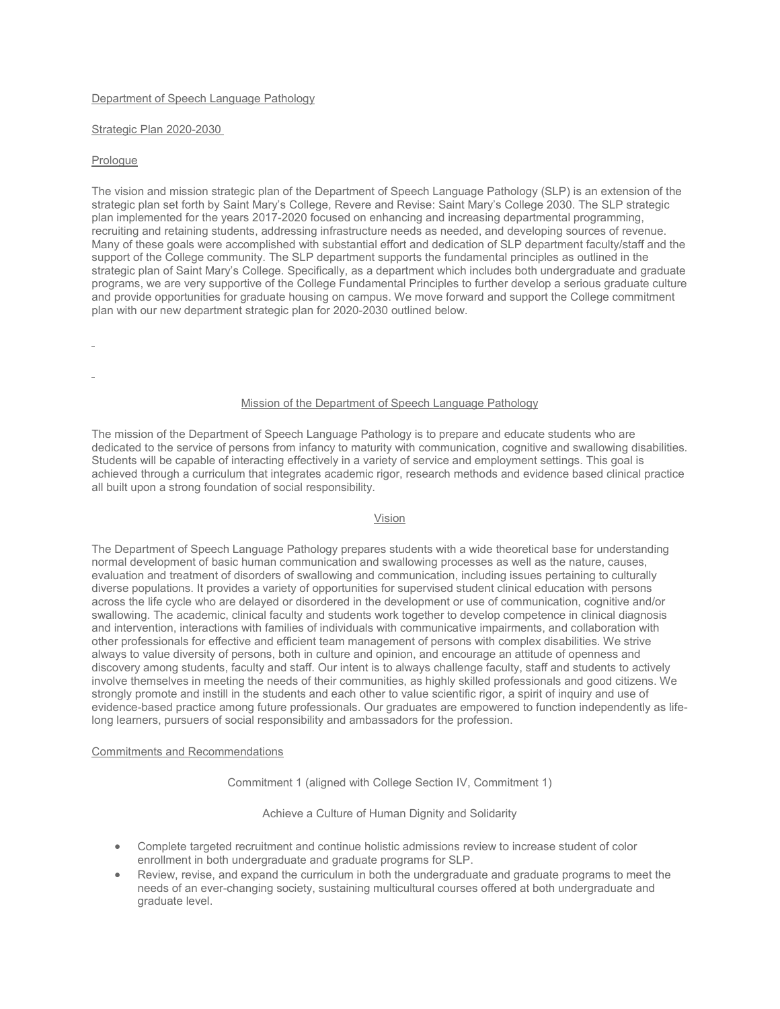# Department of Speech Language Pathology

### Strategic Plan 2020-2030

### Prologue

The vision and mission strategic plan of the Department of Speech Language Pathology (SLP) is an extension of the strategic plan set forth by Saint Mary's College, Revere and Revise: Saint Mary's College 2030. The SLP strategic plan implemented for the years 2017-2020 focused on enhancing and increasing departmental programming, recruiting and retaining students, addressing infrastructure needs as needed, and developing sources of revenue. Many of these goals were accomplished with substantial effort and dedication of SLP department faculty/staff and the support of the College community. The SLP department supports the fundamental principles as outlined in the strategic plan of Saint Mary's College. Specifically, as a department which includes both undergraduate and graduate programs, we are very supportive of the College Fundamental Principles to further develop a serious graduate culture and provide opportunities for graduate housing on campus. We move forward and support the College commitment plan with our new department strategic plan for 2020-2030 outlined below.

# Mission of the Department of Speech Language Pathology

The mission of the Department of Speech Language Pathology is to prepare and educate students who are dedicated to the service of persons from infancy to maturity with communication, cognitive and swallowing disabilities. Students will be capable of interacting effectively in a variety of service and employment settings. This goal is achieved through a curriculum that integrates academic rigor, research methods and evidence based clinical practice all built upon a strong foundation of social responsibility.

### Vision

The Department of Speech Language Pathology prepares students with a wide theoretical base for understanding normal development of basic human communication and swallowing processes as well as the nature, causes, evaluation and treatment of disorders of swallowing and communication, including issues pertaining to culturally diverse populations. It provides a variety of opportunities for supervised student clinical education with persons across the life cycle who are delayed or disordered in the development or use of communication, cognitive and/or swallowing. The academic, clinical faculty and students work together to develop competence in clinical diagnosis and intervention, interactions with families of individuals with communicative impairments, and collaboration with other professionals for effective and efficient team management of persons with complex disabilities. We strive always to value diversity of persons, both in culture and opinion, and encourage an attitude of openness and discovery among students, faculty and staff. Our intent is to always challenge faculty, staff and students to actively involve themselves in meeting the needs of their communities, as highly skilled professionals and good citizens. We strongly promote and instill in the students and each other to value scientific rigor, a spirit of inquiry and use of evidence-based practice among future professionals. Our graduates are empowered to function independently as lifelong learners, pursuers of social responsibility and ambassadors for the profession.

# Commitments and Recommendations

Commitment 1 (aligned with College Section IV, Commitment 1)

Achieve a Culture of Human Dignity and Solidarity

- Complete targeted recruitment and continue holistic admissions review to increase student of color enrollment in both undergraduate and graduate programs for SLP.
- Review, revise, and expand the curriculum in both the undergraduate and graduate programs to meet the needs of an ever-changing society, sustaining multicultural courses offered at both undergraduate and graduate level.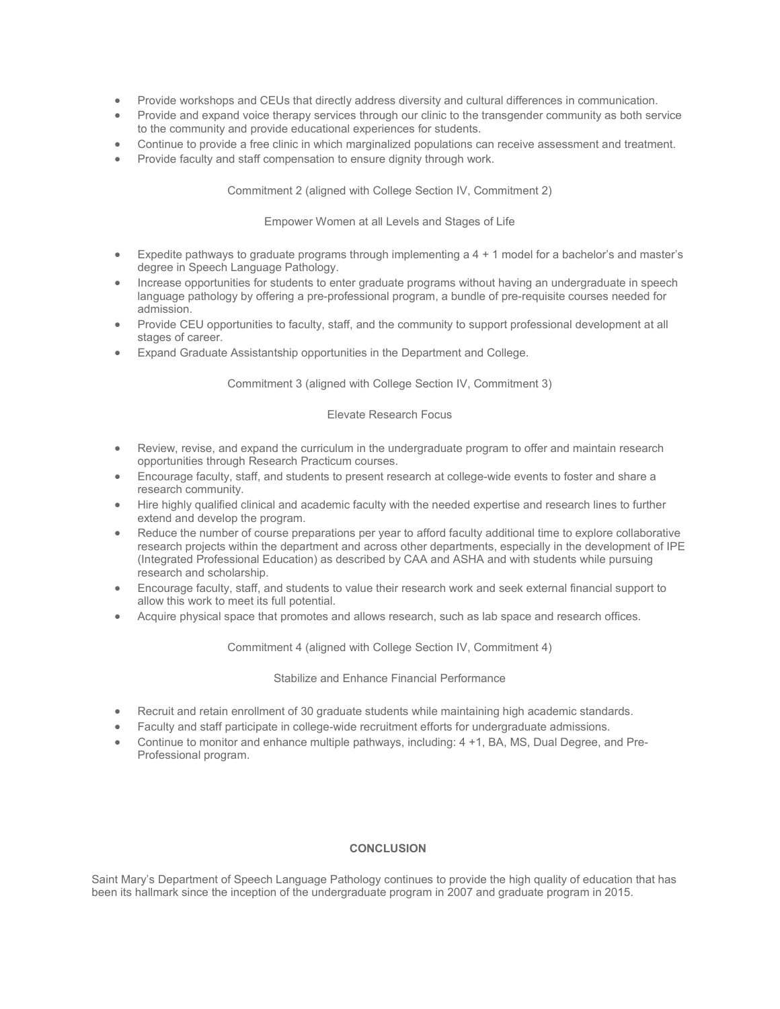- Provide workshops and CEUs that directly address diversity and cultural differences in communication.
- Provide and expand voice therapy services through our clinic to the transgender community as both service to the community and provide educational experiences for students.
- Continue to provide a free clinic in which marginalized populations can receive assessment and treatment.
- Provide faculty and staff compensation to ensure dignity through work.

Commitment 2 (aligned with College Section IV, Commitment 2)

Empower Women at all Levels and Stages of Life

- Expedite pathways to graduate programs through implementing a 4 + 1 model for a bachelor's and master's degree in Speech Language Pathology.
- Increase opportunities for students to enter graduate programs without having an undergraduate in speech language pathology by offering a pre-professional program, a bundle of pre-requisite courses needed for admission.
- Provide CEU opportunities to faculty, staff, and the community to support professional development at all stages of career.
- Expand Graduate Assistantship opportunities in the Department and College.

Commitment 3 (aligned with College Section IV, Commitment 3)

# Elevate Research Focus

- Review, revise, and expand the curriculum in the undergraduate program to offer and maintain research opportunities through Research Practicum courses.
- Encourage faculty, staff, and students to present research at college-wide events to foster and share a research community.
- Hire highly qualified clinical and academic faculty with the needed expertise and research lines to further extend and develop the program.
- Reduce the number of course preparations per year to afford faculty additional time to explore collaborative research projects within the department and across other departments, especially in the development of IPE (Integrated Professional Education) as described by CAA and ASHA and with students while pursuing research and scholarship.
- Encourage faculty, staff, and students to value their research work and seek external financial support to allow this work to meet its full potential.
- Acquire physical space that promotes and allows research, such as lab space and research offices.

Commitment 4 (aligned with College Section IV, Commitment 4)

### Stabilize and Enhance Financial Performance

- Recruit and retain enrollment of 30 graduate students while maintaining high academic standards.
- Faculty and staff participate in college-wide recruitment efforts for undergraduate admissions.
- Continue to monitor and enhance multiple pathways, including: 4 +1, BA, MS, Dual Degree, and Pre-Professional program.

# **CONCLUSION**

Saint Mary's Department of Speech Language Pathology continues to provide the high quality of education that has been its hallmark since the inception of the undergraduate program in 2007 and graduate program in 2015.